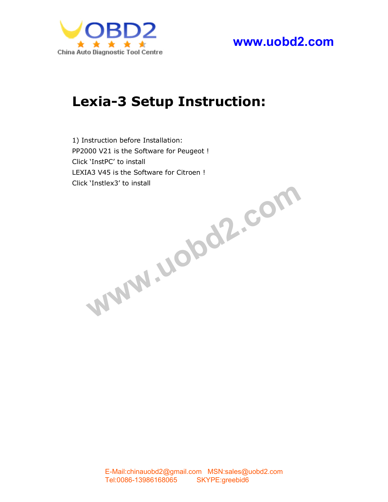

**www.uobd2.com**

# **Lexia-3 Setup Instruction:**

1) Instruction before Installation: PP2[000 V21 is the Software for Pe](mailto:chinauobd2@gmail.com)ugeot ! Click 'InstPC' to install LEXIA3 V45 is the Software for Citroen !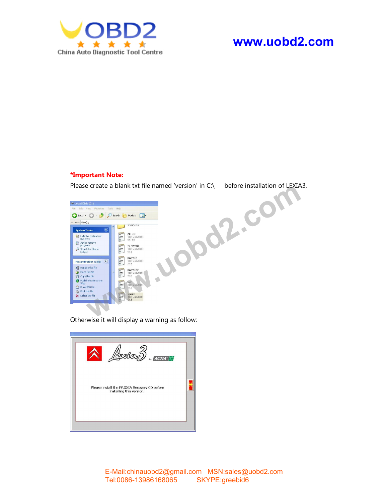

# **www.uobd2.com**

#### **\*Important Note:**



Otherwise it will display a warning as follow:



E-Mail:chinauobd2@gmail.com MSN:sales@uobd2.com